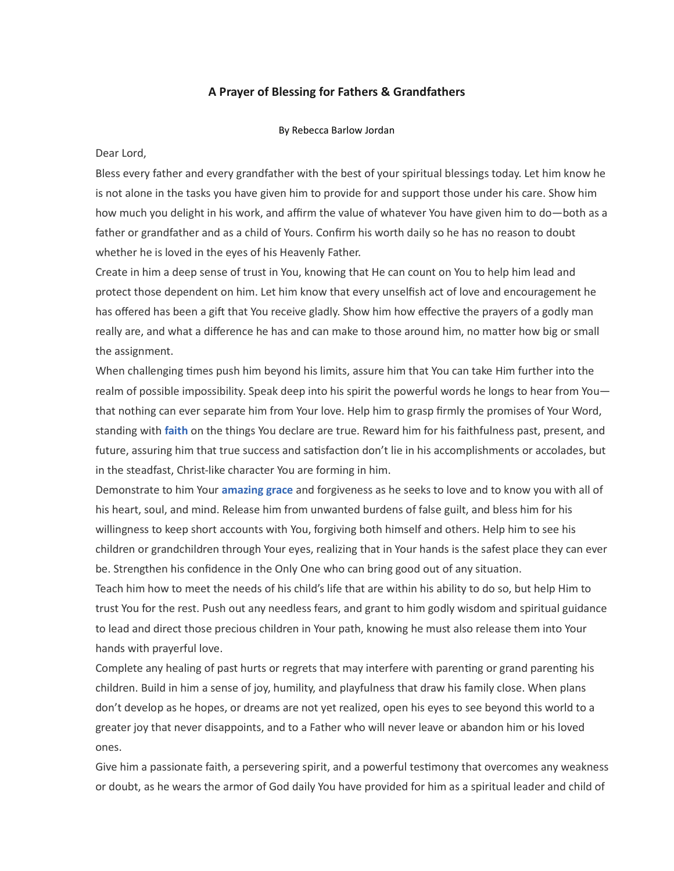## A Prayer of Blessing for Fathers & Grandfathers

By Rebecca Barlow Jordan

Dear Lord,

Bless every father and every grandfather with the best of your spiritual blessings today. Let him know he is not alone in the tasks you have given him to provide for and support those under his care. Show him how much you delight in his work, and affirm the value of whatever You have given him to do—both as a father or grandfather and as a child of Yours. Confirm his worth daily so he has no reason to doubt whether he is loved in the eyes of his Heavenly Father.

Create in him a deep sense of trust in You, knowing that He can count on You to help him lead and protect those dependent on him. Let him know that every unselfish act of love and encouragement he has offered has been a gift that You receive gladly. Show him how effective the prayers of a godly man really are, and what a difference he has and can make to those around him, no matter how big or small the assignment.

When challenging times push him beyond his limits, assure him that You can take Him further into the realm of possible impossibility. Speak deep into his spirit the powerful words he longs to hear from You that nothing can ever separate him from Your love. Help him to grasp firmly the promises of Your Word, standing with faith on the things You declare are true. Reward him for his faithfulness past, present, and future, assuring him that true success and satisfaction don't lie in his accomplishments or accolades, but in the steadfast, Christ-like character You are forming in him.

Demonstrate to him Your amazing grace and forgiveness as he seeks to love and to know you with all of his heart, soul, and mind. Release him from unwanted burdens of false guilt, and bless him for his willingness to keep short accounts with You, forgiving both himself and others. Help him to see his children or grandchildren through Your eyes, realizing that in Your hands is the safest place they can ever be. Strengthen his confidence in the Only One who can bring good out of any situation.

Teach him how to meet the needs of his child's life that are within his ability to do so, but help Him to trust You for the rest. Push out any needless fears, and grant to him godly wisdom and spiritual guidance to lead and direct those precious children in Your path, knowing he must also release them into Your hands with prayerful love.

Complete any healing of past hurts or regrets that may interfere with parenting or grand parenting his children. Build in him a sense of joy, humility, and playfulness that draw his family close. When plans don't develop as he hopes, or dreams are not yet realized, open his eyes to see beyond this world to a greater joy that never disappoints, and to a Father who will never leave or abandon him or his loved ones.

Give him a passionate faith, a persevering spirit, and a powerful testimony that overcomes any weakness or doubt, as he wears the armor of God daily You have provided for him as a spiritual leader and child of